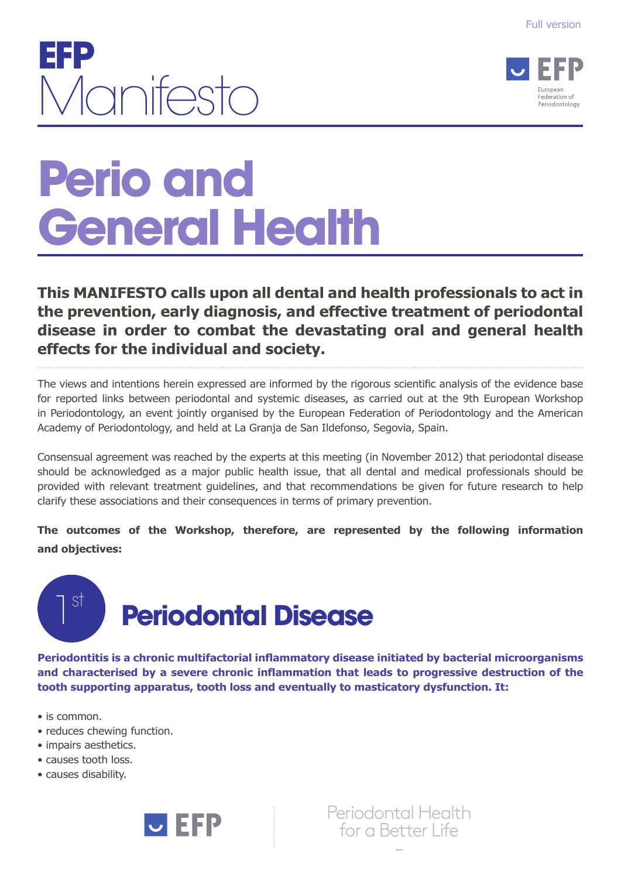



# **Perio and General Health**

**This MANIFESTO calls upon all dental and health professionals to act in the prevention, early diagnosis, and effective treatment of periodontal disease in order to combat the devastating oral and general health effects for the individual and society.** 

The views and intentions herein expressed are informed by the rigorous scientific analysis of the evidence base for reported links between periodontal and systemic diseases, as carried out at the 9th European Workshop in Periodontology, an event jointly organised by the European Federation of Periodontology and the American Academy of Periodontology, and held at La Granja de San Ildefonso, Segovia, Spain.

Consensual agreement was reached by the experts at this meeting (in November 2012) that periodontal disease should be acknowledged as a major public health issue, that all dental and medical professionals should be provided with relevant treatment guidelines, and that recommendations be given for future research to help clarify these associations and their consequences in terms of primary prevention.

**The outcomes of the Workshop, therefore, are represented by the following information and objectives:**



**Periodontitis is a chronic multifactorial inflammatory disease initiated by bacterial microorganisms and characterised by a severe chronic inflammation that leads to progressive destruction of the tooth supporting apparatus, tooth loss and eventually to masticatory dysfunction. It:** 

- is common.
- reduces chewing function.
- impairs aesthetics.
- causes tooth loss.
- causes disability.

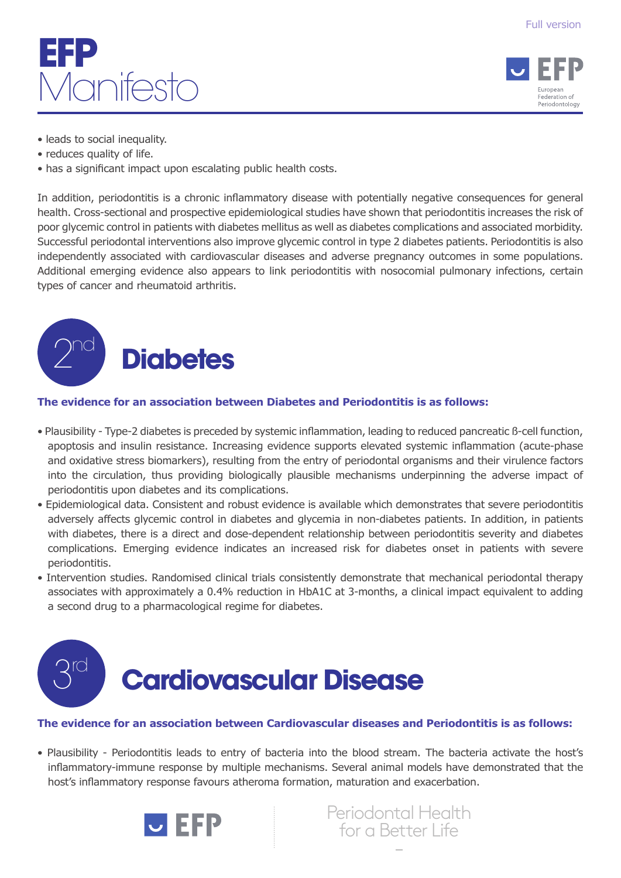## **EFP** Manifesto



- leads to social inequality.
- reduces quality of life.
- has a significant impact upon escalating public health costs.

In addition, periodontitis is a chronic inflammatory disease with potentially negative consequences for general health. Cross-sectional and prospective epidemiological studies have shown that periodontitis increases the risk of poor glycemic control in patients with diabetes mellitus as well as diabetes complications and associated morbidity. Successful periodontal interventions also improve glycemic control in type 2 diabetes patients. Periodontitis is also independently associated with cardiovascular diseases and adverse pregnancy outcomes in some populations. Additional emerging evidence also appears to link periodontitis with nosocomial pulmonary infections, certain types of cancer and rheumatoid arthritis.



#### **The evidence for an association between Diabetes and Periodontitis is as follows:**

- Plausibility Type-2 diabetes is preceded by systemic inflammation, leading to reduced pancreatic ß-cell function, apoptosis and insulin resistance. Increasing evidence supports elevated systemic inflammation (acute-phase and oxidative stress biomarkers), resulting from the entry of periodontal organisms and their virulence factors into the circulation, thus providing biologically plausible mechanisms underpinning the adverse impact of periodontitis upon diabetes and its complications.
- Epidemiological data. Consistent and robust evidence is available which demonstrates that severe periodontitis adversely affects glycemic control in diabetes and glycemia in non-diabetes patients. In addition, in patients with diabetes, there is a direct and dose-dependent relationship between periodontitis severity and diabetes complications. Emerging evidence indicates an increased risk for diabetes onset in patients with severe periodontitis.
- Intervention studies. Randomised clinical trials consistently demonstrate that mechanical periodontal therapy associates with approximately a 0.4% reduction in HbA1C at 3-months, a clinical impact equivalent to adding a second drug to a pharmacological regime for diabetes.

### 3rd **Cardiovascular Disease**

#### **The evidence for an association between Cardiovascular diseases and Periodontitis is as follows:**

• Plausibility - Periodontitis leads to entry of bacteria into the blood stream. The bacteria activate the host's inflammatory-immune response by multiple mechanisms. Several animal models have demonstrated that the host's inflammatory response favours atheroma formation, maturation and exacerbation.



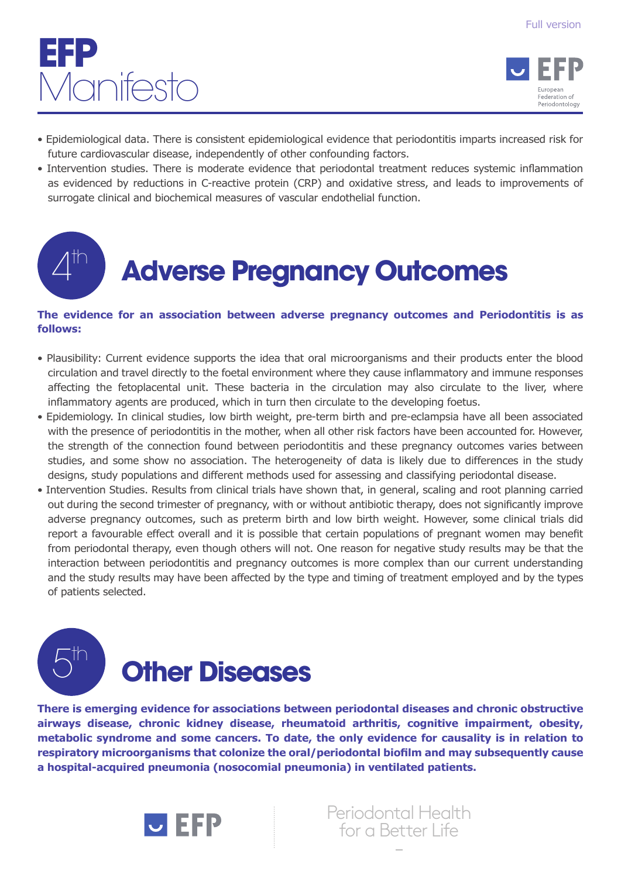# **EFP** Manifesto

 $4^{\text{th}}$ 

 $5<sup>th</sup>$ 



- Epidemiological data. There is consistent epidemiological evidence that periodontitis imparts increased risk for future cardiovascular disease, independently of other confounding factors.
- Intervention studies. There is moderate evidence that periodontal treatment reduces systemic inflammation as evidenced by reductions in C-reactive protein (CRP) and oxidative stress, and leads to improvements of surrogate clinical and biochemical measures of vascular endothelial function.

### **Adverse Pregnancy Outcomes**

#### **The evidence for an association between adverse pregnancy outcomes and Periodontitis is as follows:**

- Plausibility: Current evidence supports the idea that oral microorganisms and their products enter the blood circulation and travel directly to the foetal environment where they cause inflammatory and immune responses affecting the fetoplacental unit. These bacteria in the circulation may also circulate to the liver, where inflammatory agents are produced, which in turn then circulate to the developing foetus.
- Epidemiology. In clinical studies, low birth weight, pre-term birth and pre-eclampsia have all been associated with the presence of periodontitis in the mother, when all other risk factors have been accounted for. However, the strength of the connection found between periodontitis and these pregnancy outcomes varies between studies, and some show no association. The heterogeneity of data is likely due to differences in the study designs, study populations and different methods used for assessing and classifying periodontal disease.
- Intervention Studies. Results from clinical trials have shown that, in general, scaling and root planning carried out during the second trimester of pregnancy, with or without antibiotic therapy, does not significantly improve adverse pregnancy outcomes, such as preterm birth and low birth weight. However, some clinical trials did report a favourable effect overall and it is possible that certain populations of pregnant women may benefit from periodontal therapy, even though others will not. One reason for negative study results may be that the interaction between periodontitis and pregnancy outcomes is more complex than our current understanding and the study results may have been affected by the type and timing of treatment employed and by the types of patients selected.

# **Other Diseases**

**There is emerging evidence for associations between periodontal diseases and chronic obstructive airways disease, chronic kidney disease, rheumatoid arthritis, cognitive impairment, obesity, metabolic syndrome and some cancers. To date, the only evidence for causality is in relation to respiratory microorganisms that colonize the oral/periodontal biofilm and may subsequently cause a hospital-acquired pneumonia (nosocomial pneumonia) in ventilated patients.**



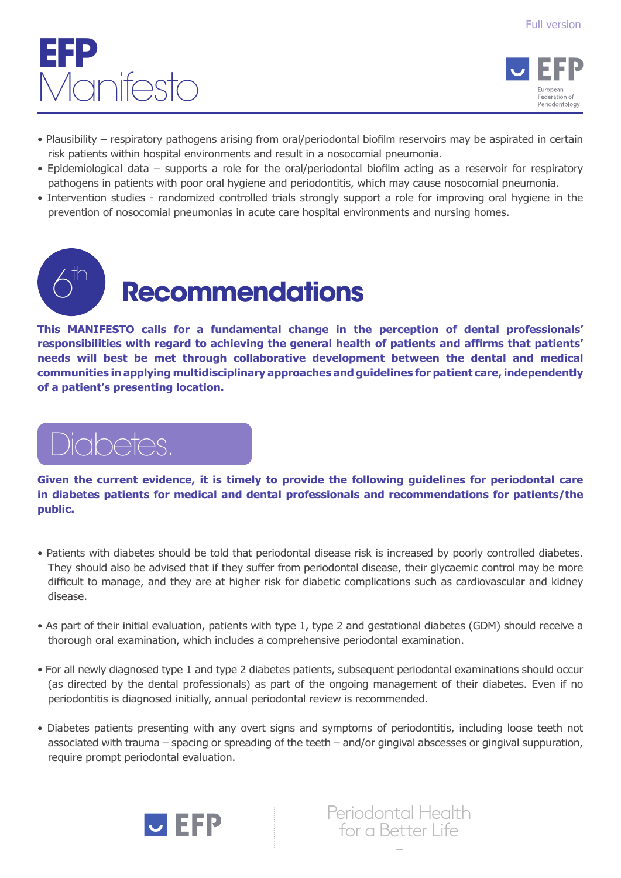# **EFP** Manifesto



- Plausibility respiratory pathogens arising from oral/periodontal biofilm reservoirs may be aspirated in certain risk patients within hospital environments and result in a nosocomial pneumonia.
- Epidemiological data supports a role for the oral/periodontal biofilm acting as a reservoir for respiratory pathogens in patients with poor oral hygiene and periodontitis, which may cause nosocomial pneumonia.
- Intervention studies randomized controlled trials strongly support a role for improving oral hygiene in the prevention of nosocomial pneumonias in acute care hospital environments and nursing homes.



**This MANIFESTO calls for a fundamental change in the perception of dental professionals' responsibilities with regard to achieving the general health of patients and affirms that patients' needs will best be met through collaborative development between the dental and medical communities in applying multidisciplinary approaches and guidelines for patient care, independently of a patient's presenting location.**

### iabetes.

**Given the current evidence, it is timely to provide the following guidelines for periodontal care in diabetes patients for medical and dental professionals and recommendations for patients/the public.** 

- Patients with diabetes should be told that periodontal disease risk is increased by poorly controlled diabetes. They should also be advised that if they suffer from periodontal disease, their glycaemic control may be more difficult to manage, and they are at higher risk for diabetic complications such as cardiovascular and kidney disease.
- As part of their initial evaluation, patients with type 1, type 2 and gestational diabetes (GDM) should receive a thorough oral examination, which includes a comprehensive periodontal examination.
- For all newly diagnosed type 1 and type 2 diabetes patients, subsequent periodontal examinations should occur (as directed by the dental professionals) as part of the ongoing management of their diabetes. Even if no periodontitis is diagnosed initially, annual periodontal review is recommended.
- Diabetes patients presenting with any overt signs and symptoms of periodontitis, including loose teeth not associated with trauma – spacing or spreading of the teeth – and/or gingival abscesses or gingival suppuration, require prompt periodontal evaluation.



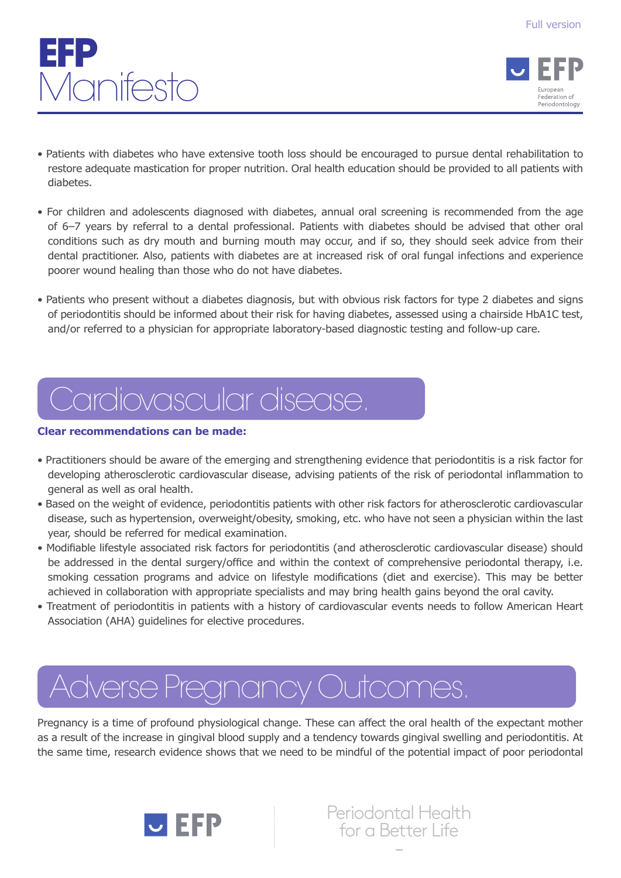





- Patients with diabetes who have extensive tooth loss should be encouraged to pursue dental rehabilitation to restore adequate mastication for proper nutrition. Oral health education should be provided to all patients with diabetes.
- For children and adolescents diagnosed with diabetes, annual oral screening is recommended from the age of 6–7 years by referral to a dental professional. Patients with diabetes should be advised that other oral conditions such as dry mouth and burning mouth may occur, and if so, they should seek advice from their dental practitioner. Also, patients with diabetes are at increased risk of oral fungal infections and experience poorer wound healing than those who do not have diabetes.
- Patients who present without a diabetes diagnosis, but with obvious risk factors for type 2 diabetes and signs of periodontitis should be informed about their risk for having diabetes, assessed using a chairside HbA1C test, and/or referred to a physician for appropriate laboratory-based diagnostic testing and follow-up care.

### Cardiovascular disease.

#### **Clear recommendations can be made:**

- Practitioners should be aware of the emerging and strengthening evidence that periodontitis is a risk factor for developing atherosclerotic cardiovascular disease, advising patients of the risk of periodontal inflammation to general as well as oral health.
- Based on the weight of evidence, periodontitis patients with other risk factors for atherosclerotic cardiovascular disease, such as hypertension, overweight/obesity, smoking, etc. who have not seen a physician within the last year, should be referred for medical examination.
- Modifiable lifestyle associated risk factors for periodontitis (and atherosclerotic cardiovascular disease) should be addressed in the dental surgery/office and within the context of comprehensive periodontal therapy, i.e. smoking cessation programs and advice on lifestyle modifications (diet and exercise). This may be better achieved in collaboration with appropriate specialists and may bring health gains beyond the oral cavity.
- Treatment of periodontitis in patients with a history of cardiovascular events needs to follow American Heart Association (AHA) guidelines for elective procedures.

### Adverse Pregnancy Outcomes.

Pregnancy is a time of profound physiological change. These can affect the oral health of the expectant mother as a result of the increase in gingival blood supply and a tendency towards gingival swelling and periodontitis. At the same time, research evidence shows that we need to be mindful of the potential impact of poor periodontal

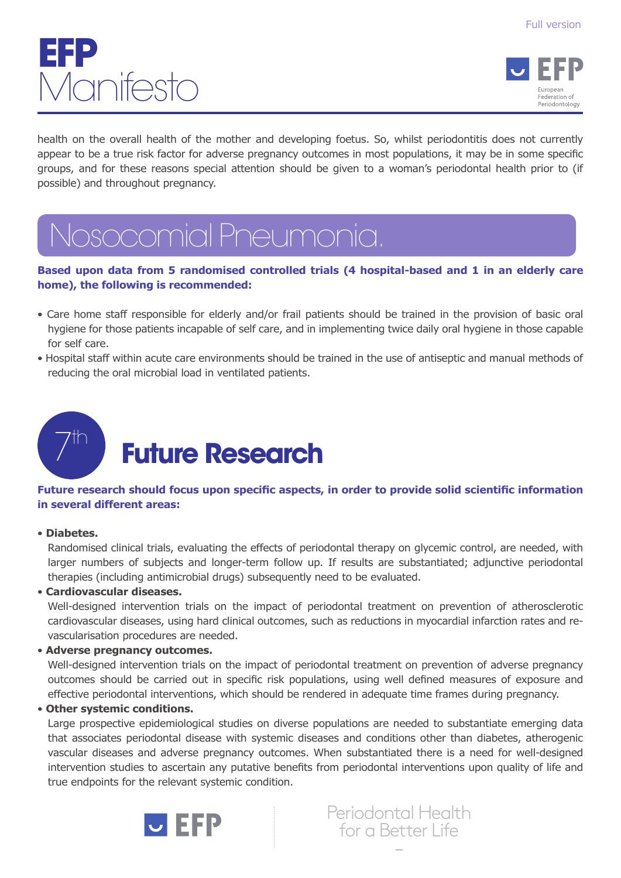# **EFP** Manifesto



health on the overall health of the mother and developing foetus. So, whilst periodontitis does not currently appear to be a true risk factor for adverse pregnancy outcomes in most populations, it may be in some specific groups, and for these reasons special attention should be given to a woman's periodontal health prior to (if possible) and throughout pregnancy.

### Nosocomial Pneumonia.

#### **Based upon data from 5 randomised controlled trials (4 hospital-based and 1 in an elderly care home), the following is recommended:**

- Care home staff responsible for elderly and/or frail patients should be trained in the provision of basic oral hygiene for those patients incapable of self care, and in implementing twice daily oral hygiene in those capable for self care.
- Hospital staff within acute care environments should be trained in the use of antiseptic and manual methods of reducing the oral microbial load in ventilated patients.



#### **Future research should focus upon specific aspects, in order to provide solid scientific information in several different areas:**

#### • **Diabetes.**

Randomised clinical trials, evaluating the effects of periodontal therapy on glycemic control, are needed, with larger numbers of subjects and longer-term follow up. If results are substantiated; adjunctive periodontal therapies (including antimicrobial drugs) subsequently need to be evaluated.

#### • **Cardiovascular diseases.**

Well-designed intervention trials on the impact of periodontal treatment on prevention of atherosclerotic cardiovascular diseases, using hard clinical outcomes, such as reductions in myocardial infarction rates and revascularisation procedures are needed.

#### • **Adverse pregnancy outcomes.**

Well-designed intervention trials on the impact of periodontal treatment on prevention of adverse pregnancy outcomes should be carried out in specific risk populations, using well defined measures of exposure and effective periodontal interventions, which should be rendered in adequate time frames during pregnancy.

#### • **Other systemic conditions.**

Large prospective epidemiological studies on diverse populations are needed to substantiate emerging data that associates periodontal disease with systemic diseases and conditions other than diabetes, atherogenic vascular diseases and adverse pregnancy outcomes. When substantiated there is a need for well-designed intervention studies to ascertain any putative benefits from periodontal interventions upon quality of life and true endpoints for the relevant systemic condition.



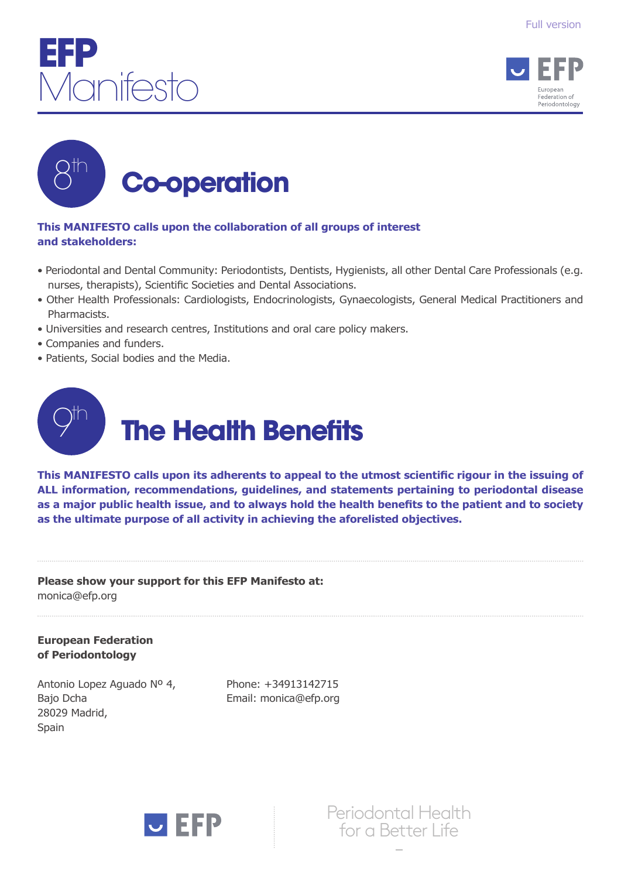





#### **This MANIFESTO calls upon the collaboration of all groups of interest and stakeholders:**

- Periodontal and Dental Community: Periodontists, Dentists, Hygienists, all other Dental Care Professionals (e.g. nurses, therapists), Scientific Societies and Dental Associations.
- Other Health Professionals: Cardiologists, Endocrinologists, Gynaecologists, General Medical Practitioners and Pharmacists.
- Universities and research centres, Institutions and oral care policy makers.
- Companies and funders.
- Patients, Social bodies and the Media.



**This MANIFESTO calls upon its adherents to appeal to the utmost scientific rigour in the issuing of ALL information, recommendations, guidelines, and statements pertaining to periodontal disease as a major public health issue, and to always hold the health benefits to the patient and to society as the ultimate purpose of all activity in achieving the aforelisted objectives.**

**Please show your support for this EFP Manifesto at:**  monica@efp.org

**European Federation of Periodontology**

Antonio Lopez Aguado Nº 4, Bajo Dcha 28029 Madrid, Spain

Phone: +34913142715 Email: monica@efp.org